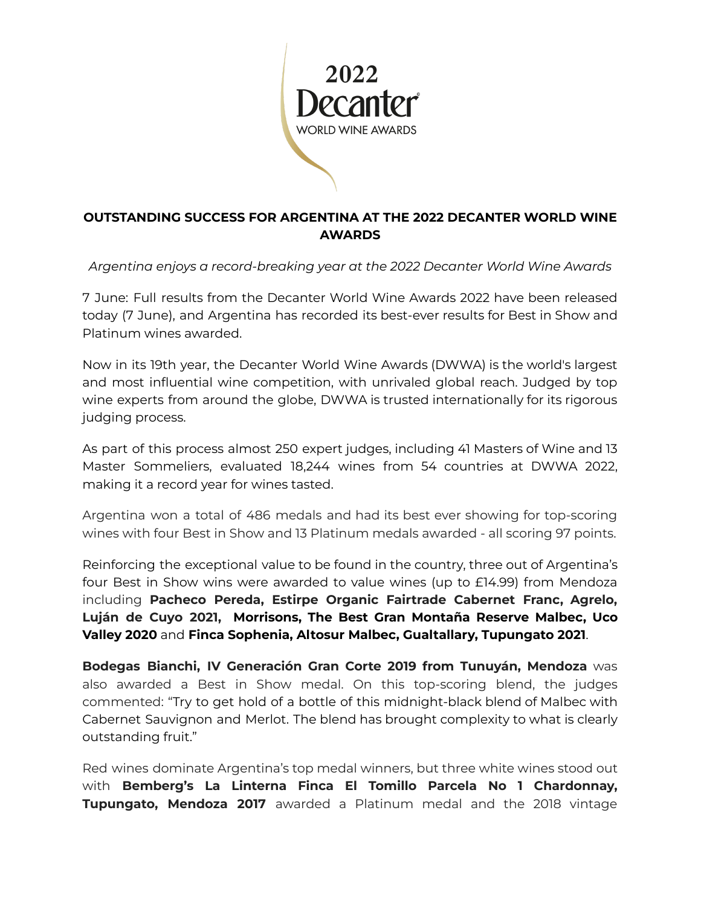

### **OUTSTANDING SUCCESS FOR ARGENTINA AT THE 2022 DECANTER WORLD WINE AWARDS**

*Argentina enjoys a record-breaking year at the 2022 Decanter World Wine Awards*

7 June: Full results from the Decanter World Wine Awards 2022 have been released today (7 June), and Argentina has recorded its best-ever results for Best in Show and Platinum wines awarded.

Now in its 19th year, the Decanter World Wine Awards (DWWA) is the world's largest and most influential wine competition, with unrivaled global reach. Judged by top wine experts from around the globe, DWWA is trusted internationally for its rigorous judging process.

As part of this process almost 250 expert judges, including 41 Masters of Wine and 13 Master Sommeliers, evaluated 18,244 wines from 54 countries at DWWA 2022, making it a record year for wines tasted.

Argentina won a total of 486 medals and had its best ever showing for top-scoring wines with four Best in Show and 13 Platinum medals awarded - all scoring 97 points.

Reinforcing the exceptional value to be found in the country, three out of Argentina's four Best in Show wins were awarded to value wines (up to £14.99) from Mendoza including **Pacheco Pereda, Estirpe Organic Fairtrade Cabernet Franc, Agrelo, Luján de Cuyo 2021, Morrisons, The Best Gran Montaña Reserve Malbec, Uco Valley 2020** and **Finca Sophenia, Altosur Malbec, Gualtallary, Tupungato 2021**.

**Bodegas Bianchi, IV Generación Gran Corte 2019 from Tunuyán, Mendoza** was also awarded a Best in Show medal. On this top-scoring blend, the judges commented: "Try to get hold of a bottle of this midnight-black blend of Malbec with Cabernet Sauvignon and Merlot. The blend has brought complexity to what is clearly outstanding fruit."

Red wines dominate Argentina's top medal winners, but three white wines stood out with **Bemberg's La Linterna Finca El Tomillo Parcela No 1 Chardonnay, Tupungato, Mendoza 2017** awarded a Platinum medal and the 2018 vintage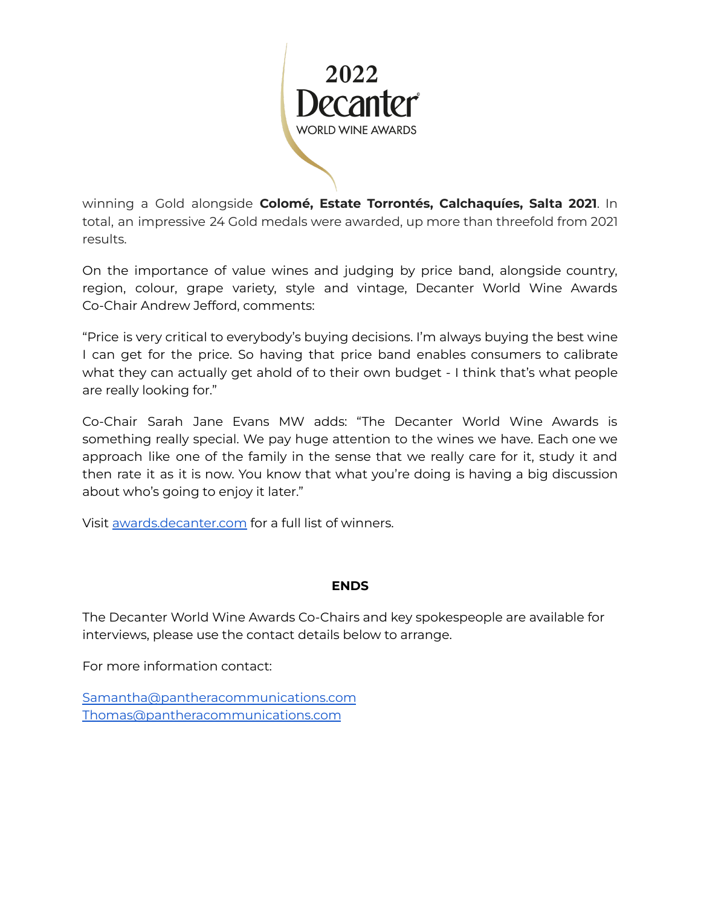

winning a Gold alongside **Colomé, Estate Torrontés, Calchaquíes, Salta 2021**. In total, an impressive 24 Gold medals were awarded, up more than threefold from 2021 results.

On the importance of value wines and judging by price band, alongside country, region, colour, grape variety, style and vintage, Decanter World Wine Awards Co-Chair Andrew Jefford, comments:

"Price is very critical to everybody's buying decisions. I'm always buying the best wine I can get for the price. So having that price band enables consumers to calibrate what they can actually get ahold of to their own budget - I think that's what people are really looking for."

Co-Chair Sarah Jane Evans MW adds: "The Decanter World Wine Awards is something really special. We pay huge attention to the wines we have. Each one we approach like one of the family in the sense that we really care for it, study it and then rate it as it is now. You know that what you're doing is having a big discussion about who's going to enjoy it later."

Visit [awards.decanter.com](http://awards.decanter.com) for a full list of winners.

#### **ENDS**

The Decanter World Wine Awards Co-Chairs and key spokespeople are available for interviews, please use the contact details below to arrange.

For more information contact:

[Samantha@pantheracommunications.com](mailto:Samantha@pantheracommunications.com) [Thomas@pantheracommunications.com](mailto:Thomas@pantheracommunications.com)